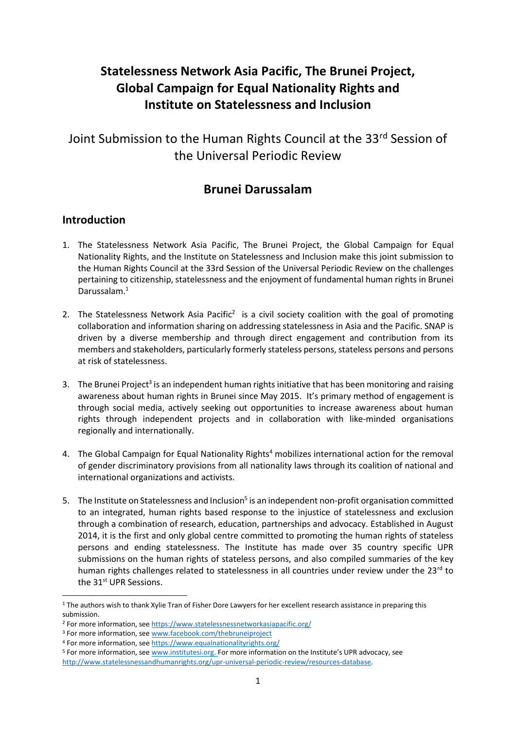# **Statelessness Network Asia Pacific, The Brunei Project, Global Campaign for Equal Nationality Rights and Institute on Statelessness and Inclusion**

Joint Submission to the Human Rights Council at the 33<sup>rd</sup> Session of the Universal Periodic Review

## **Brunei Darussalam**

#### **Introduction**

 $\overline{a}$ 

- 1. The Statelessness Network Asia Pacific, The Brunei Project, the Global Campaign for Equal Nationality Rights, and the Institute on Statelessness and Inclusion make this joint submission to the Human Rights Council at the 33rd Session of the Universal Periodic Review on the challenges pertaining to citizenship, statelessness and the enjoyment of fundamental human rights in Brunei Darussalam.<sup>1</sup>
- 2. The Statelessness Network Asia Pacific<sup>2</sup> is a civil society coalition with the goal of promoting collaboration and information sharing on addressing statelessness in Asia and the Pacific. SNAP is driven by a diverse membership and through direct engagement and contribution from its members and stakeholders, particularly formerly stateless persons, stateless persons and persons at risk of statelessness.
- 3. The Brunei Project<sup>3</sup> is an independent human rights initiative that has been monitoring and raising awareness about human rights in Brunei since May 2015. It's primary method of engagement is through social media, actively seeking out opportunities to increase awareness about human rights through independent projects and in collaboration with like-minded organisations regionally and internationally.
- 4. The Global Campaign for Equal Nationality Rights<sup>4</sup> mobilizes international action for the removal of gender discriminatory provisions from all nationality laws through its coalition of national and international organizations and activists.
- 5. The Institute on Statelessness and Inclusion<sup>5</sup> is an independent non-profit organisation committed to an integrated, human rights based response to the injustice of statelessness and exclusion through a combination of research, education, partnerships and advocacy. Established in August 2014, it is the first and only global centre committed to promoting the human rights of stateless persons and ending statelessness. The Institute has made over 35 country specific UPR submissions on the human rights of stateless persons, and also compiled summaries of the key human rights challenges related to statelessness in all countries under review under the 23rd to the 31<sup>st</sup> UPR Sessions.

<sup>&</sup>lt;sup>1</sup> The authors wish to thank Xylie Tran of Fisher Dore Lawyers for her excellent research assistance in preparing this submission.

<sup>2</sup> For more information, see [https://www.statelessnessnetworkasiapacific.org/](https://www.statelessnessnetworkasiapacific.org/))

<sup>&</sup>lt;sup>3</sup> For more information, see [www.facebook.com/thebruneiproject](http://www.facebook.com/thebruneiproject)

<sup>4</sup> For more information, see<https://www.equalnationalityrights.org/>

<sup>5</sup> For more information, see [www.institutesi.org.](http://www.institutesi.org/) For more information on the Institute's UPR advocacy, see [http://www.statelessnessandhumanrights.org/upr-universal-periodic-review/resources-database.](http://www.institutesi.org/ourwork/humanrights.php)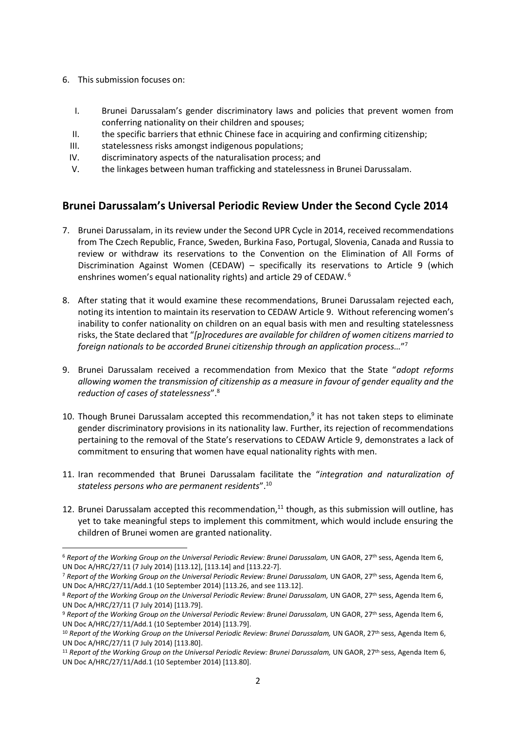6. This submission focuses on:

**.** 

- I. Brunei Darussalam's gender discriminatory laws and policies that prevent women from conferring nationality on their children and spouses;
- II. the specific barriers that ethnic Chinese face in acquiring and confirming citizenship;
- III. statelessness risks amongst indigenous populations;
- IV. discriminatory aspects of the naturalisation process; and
- V. the linkages between human trafficking and statelessness in Brunei Darussalam.

## **Brunei Darussalam's Universal Periodic Review Under the Second Cycle 2014**

- 7. Brunei Darussalam, in its review under the Second UPR Cycle in 2014, received recommendations from The Czech Republic, France, Sweden, Burkina Faso, Portugal, Slovenia, Canada and Russia to review or withdraw its reservations to the Convention on the Elimination of All Forms of Discrimination Against Women (CEDAW) – specifically its reservations to Article 9 (which enshrines women's equal nationality rights) and article 29 of CEDAW.<sup>6</sup>
- 8. After stating that it would examine these recommendations, Brunei Darussalam rejected each, noting its intention to maintain its reservation to CEDAW Article 9. Without referencing women's inability to confer nationality on children on an equal basis with men and resulting statelessness risks, the State declared that "*[p]rocedures are available for children of women citizens married to foreign nationals to be accorded Brunei citizenship through an application process…*" 7
- 9. Brunei Darussalam received a recommendation from Mexico that the State "*adopt reforms allowing women the transmission of citizenship as a measure in favour of gender equality and the reduction of cases of statelessness*".<sup>8</sup>
- 10. Though Brunei Darussalam accepted this recommendation, 9 it has not taken steps to eliminate gender discriminatory provisions in its nationality law. Further, its rejection of recommendations pertaining to the removal of the State's reservations to CEDAW Article 9, demonstrates a lack of commitment to ensuring that women have equal nationality rights with men.
- 11. Iran recommended that Brunei Darussalam facilitate the "*integration and naturalization of stateless persons who are permanent residents*".<sup>10</sup>
- 12. Brunei Darussalam accepted this recommendation, $11$  though, as this submission will outline, has yet to take meaningful steps to implement this commitment, which would include ensuring the children of Brunei women are granted nationality.

<sup>&</sup>lt;sup>6</sup> Report of the Working Group on the Universal Periodic Review: Brunei Darussalam, UN GAOR, 27<sup>th</sup> sess, Agenda Item 6, UN Doc A/HRC/27/11 (7 July 2014) [113.12], [113.14] and [113.22-7].

<sup>7</sup> *Report of the Working Group on the Universal Periodic Review: Brunei Darussalam,* UN GAOR, 27th sess, Agenda Item 6, UN Doc A/HRC/27/11/Add.1 (10 September 2014) [113.26, and see 113.12].

<sup>&</sup>lt;sup>8</sup> Report of the Working Group on the Universal Periodic Review: Brunei Darussalam, UN GAOR, 27<sup>th</sup> sess, Agenda Item 6, UN Doc A/HRC/27/11 (7 July 2014) [113.79].

<sup>&</sup>lt;sup>9</sup> Report of the Working Group on the Universal Periodic Review: Brunei Darussalam, UN GAOR, 27<sup>th</sup> sess, Agenda Item 6, UN Doc A/HRC/27/11/Add.1 (10 September 2014) [113.79].

<sup>&</sup>lt;sup>10</sup> Report of the Working Group on the Universal Periodic Review: Brunei Darussalam, UN GAOR, 27<sup>th</sup> sess, Agenda Item 6, UN Doc A/HRC/27/11 (7 July 2014) [113.80].

<sup>&</sup>lt;sup>11</sup> Report of the Working Group on the Universal Periodic Review: Brunei Darussalam, UN GAOR, 27<sup>th</sup> sess, Agenda Item 6, UN Doc A/HRC/27/11/Add.1 (10 September 2014) [113.80].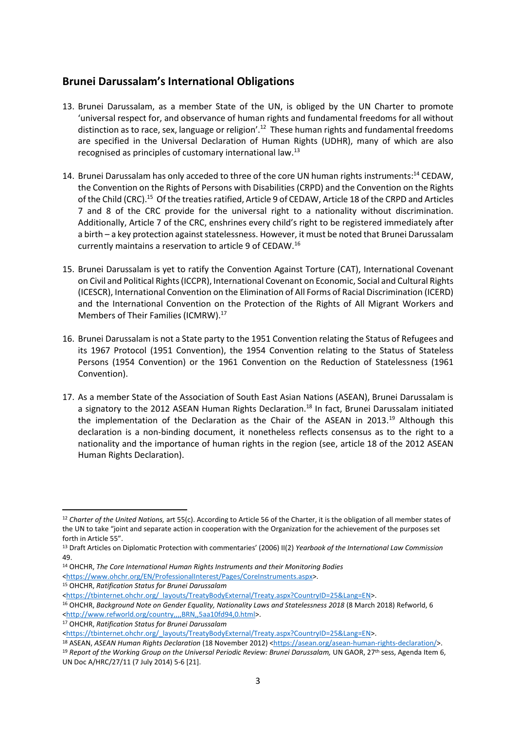#### **Brunei Darussalam's International Obligations**

- 13. Brunei Darussalam, as a member State of the UN, is obliged by the UN Charter to promote 'universal respect for, and observance of human rights and fundamental freedoms for all without distinction as to race, sex, language or religion'.<sup>12</sup> These human rights and fundamental freedoms are specified in the Universal Declaration of Human Rights (UDHR), many of which are also recognised as principles of customary international law.<sup>13</sup>
- 14. Brunei Darussalam has only acceded to three of the core UN human rights instruments:<sup>14</sup> CEDAW, the Convention on the Rights of Persons with Disabilities (CRPD) and the Convention on the Rights of the Child (CRC).<sup>15</sup> Of the treaties ratified, Article 9 of CEDAW, Article 18 of the CRPD and Articles 7 and 8 of the CRC provide for the universal right to a nationality without discrimination. Additionally, Article 7 of the CRC, enshrines every child's right to be registered immediately after a birth – a key protection against statelessness. However, it must be noted that Brunei Darussalam currently maintains a reservation to article 9 of CEDAW.<sup>16</sup>
- 15. Brunei Darussalam is yet to ratify the Convention Against Torture (CAT), International Covenant on Civil and Political Rights (ICCPR), International Covenant on Economic, Social and Cultural Rights (ICESCR), International Convention on the Elimination of All Forms of Racial Discrimination (ICERD) and the International Convention on the Protection of the Rights of All Migrant Workers and Members of Their Families (ICMRW).<sup>17</sup>
- 16. Brunei Darussalam is not a State party to the 1951 Convention relating the Status of Refugees and its 1967 Protocol (1951 Convention), the 1954 Convention relating to the Status of Stateless Persons (1954 Convention) or the 1961 Convention on the Reduction of Statelessness (1961 Convention).
- 17. As a member State of the Association of South East Asian Nations (ASEAN), Brunei Darussalam is a signatory to the 2012 ASEAN Human Rights Declaration.<sup>18</sup> In fact, Brunei Darussalam initiated the implementation of the Declaration as the Chair of the ASEAN in 2013.<sup>19</sup> Although this declaration is a non-binding document, it nonetheless reflects consensus as to the right to a nationality and the importance of human rights in the region (see, article 18 of the 2012 ASEAN Human Rights Declaration).

<sup>12</sup> *Charter of the United Nations,* art 55(c). According to Article 56 of the Charter, it is the obligation of all member states of the UN to take "joint and separate action in cooperation with the Organization for the achievement of the purposes set forth in Article 55".

<sup>13</sup> Draft Articles on Diplomatic Protection with commentaries' (2006) II(2) *Yearbook of the International Law Commission*  49.

<sup>14</sup> OHCHR, *The Core International Human Rights Instruments and their Monitoring Bodies* 

[<sup>&</sup>lt;https://www.ohchr.org/EN/ProfessionalInterest/Pages/CoreInstruments.aspx>](https://www.ohchr.org/EN/ProfessionalInterest/Pages/CoreInstruments.aspx).

<sup>15</sup> OHCHR, *Ratification Status for Brunei Darussalam* 

[<sup>&</sup>lt;https://tbinternet.ohchr.org/\\_layouts/TreatyBodyExternal/Treaty.aspx?CountryID=25&Lang=EN>](https://tbinternet.ohchr.org/_layouts/TreatyBodyExternal/Treaty.aspx?CountryID=25&Lang=EN).

<sup>16</sup> OHCHR, *Background Note on Gender Equality, Nationality Laws and Statelessness 2018* (8 March 2018) Refworld, 6 [<http://www.refworld.org/country,,,,BRN,,5aa10fd94,0.html>](http://www.refworld.org/country,,,,BRN,,5aa10fd94,0.html).

<sup>17</sup> OHCHR, *Ratification Status for Brunei Darussalam* 

[<sup>&</sup>lt;https://tbinternet.ohchr.org/\\_layouts/TreatyBodyExternal/Treaty.aspx?CountryID=25&Lang=EN>](https://tbinternet.ohchr.org/_layouts/TreatyBodyExternal/Treaty.aspx?CountryID=25&Lang=EN).

<sup>18</sup> ASEAN, *ASEAN Human Rights Declaration* (18 November 2012) [<https://asean.org/asean-human-rights-declaration/>](https://asean.org/asean-human-rights-declaration/). <sup>19</sup> Report of the Working Group on the Universal Periodic Review: Brunei Darussalam, UN GAOR, 27th sess, Agenda Item 6, UN Doc A/HRC/27/11 (7 July 2014) 5-6 [21].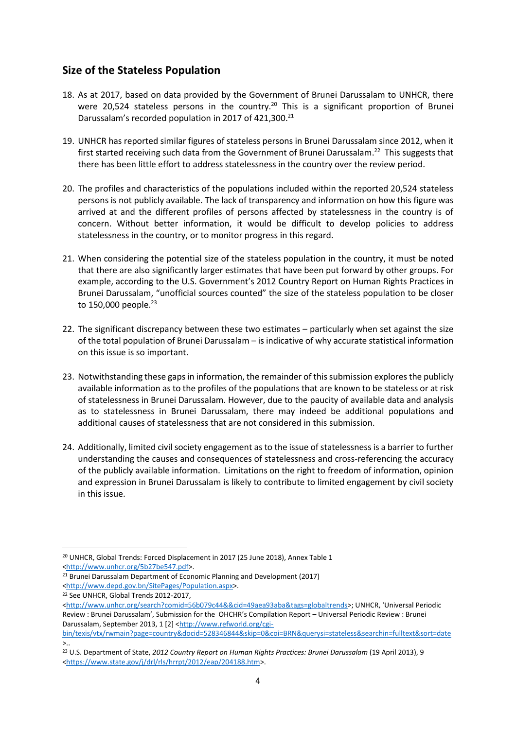## **Size of the Stateless Population**

- 18. As at 2017, based on data provided by the Government of Brunei Darussalam to UNHCR, there were 20,524 stateless persons in the country.<sup>20</sup> This is a significant proportion of Brunei Darussalam's recorded population in 2017 of 421,300.<sup>21</sup>
- 19. UNHCR has reported similar figures of stateless persons in Brunei Darussalam since 2012, when it first started receiving such data from the Government of Brunei Darussalam.<sup>22</sup> This suggests that there has been little effort to address statelessness in the country over the review period.
- 20. The profiles and characteristics of the populations included within the reported 20,524 stateless persons is not publicly available. The lack of transparency and information on how this figure was arrived at and the different profiles of persons affected by statelessness in the country is of concern. Without better information, it would be difficult to develop policies to address statelessness in the country, or to monitor progress in this regard.
- 21. When considering the potential size of the stateless population in the country, it must be noted that there are also significantly larger estimates that have been put forward by other groups. For example, according to the U.S. Government's [2012 Country Report on Human Rights Practices](http://www.state.gov/j/drl/rls/hrrpt/2012/index.htm) in Brunei Darussalam, "unofficial sources counted" the size of the stateless population to be closer to  $150,000$  people.<sup>23</sup>
- 22. The significant discrepancy between these two estimates particularly when set against the size of the total population of Brunei Darussalam – is indicative of why accurate statistical information on this issue is so important.
- 23. Notwithstanding these gaps in information, the remainder of this submission exploresthe publicly available information as to the profiles of the populations that are known to be stateless or at risk of statelessness in Brunei Darussalam. However, due to the paucity of available data and analysis as to statelessness in Brunei Darussalam, there may indeed be additional populations and additional causes of statelessness that are not considered in this submission.
- 24. Additionally, limited civil society engagement as to the issue of statelessness is a barrier to further understanding the causes and consequences of statelessness and cross-referencing the accuracy of the publicly available information. Limitations on the right to freedom of information, opinion and expression in Brunei Darussalam is likely to contribute to limited engagement by civil society in this issue.

<sup>20</sup> UNHCR, Global Trends: Forced Displacement in 2017 (25 June 2018), Annex Table 1 [<http://www.unhcr.org/5b27be547.pdf>](http://www.unhcr.org/5b27be547.pdf).

<sup>&</sup>lt;sup>21</sup> Brunei Darussalam Department of Economic Planning and Development (2017) [<http://www.depd.gov.bn/SitePages/Population.aspx>](http://www.depd.gov.bn/SitePages/Population.aspx).

<sup>22</sup> See UNHCR, Global Trends 2012-2017,

[<sup>&</sup>lt;http://www.unhcr.org/search?comid=56b079c44&&cid=49aea93aba&tags=globaltrends>](http://www.unhcr.org/search?comid=56b079c44&&cid=49aea93aba&tags=globaltrends); UNHCR, 'Universal Periodic Review : Brunei Darussalam', Submission for the OHCHR's Compilation Report – Universal Periodic Review : Brunei Darussalam, September 2013, 1 [2] [<http://www.refworld.org/cgi-](http://www.refworld.org/cgi-bin/texis/vtx/rwmain?page=country&docid=528346844&skip=0&coi=BRN&querysi=stateless&searchin=fulltext&sort=date)

[bin/texis/vtx/rwmain?page=country&docid=528346844&skip=0&coi=BRN&querysi=stateless&searchin=fulltext&sort=date](http://www.refworld.org/cgi-bin/texis/vtx/rwmain?page=country&docid=528346844&skip=0&coi=BRN&querysi=stateless&searchin=fulltext&sort=date) >..

<sup>23</sup> U.S. Department of State, *2012 Country Report on Human Rights Practices: Brunei Darussalam* (19 April 2013), 9 [<https://www.state.gov/j/drl/rls/hrrpt/2012/eap/204188.htm>](https://www.state.gov/j/drl/rls/hrrpt/2012/eap/204188.htm).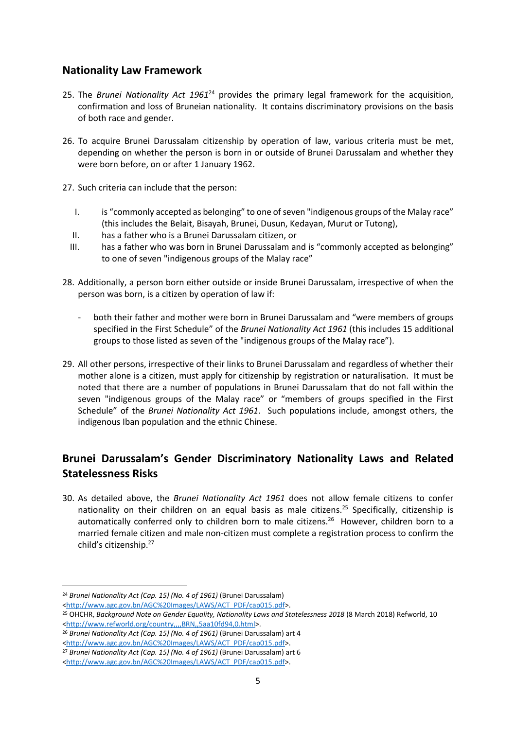#### **Nationality Law Framework**

- 25. The *Brunei Nationality Act 1961*<sup>24</sup> provides the primary legal framework for the acquisition, confirmation and loss of Bruneian nationality. It contains discriminatory provisions on the basis of both race and gender.
- 26. To acquire Brunei Darussalam citizenship by operation of law, various criteria must be met, depending on whether the person is born in or outside of Brunei Darussalam and whether they were born before, on or after 1 January 1962.
- 27. Such criteria can include that the person:
	- I. is "commonly accepted as belonging" to one of seven "indigenous groups of the Malay race" (this includes the Belait, Bisayah, Brunei, Dusun, Kedayan, Murut or Tutong),
	- II. has a father who is a Brunei Darussalam citizen, or
	- III. has a father who was born in Brunei Darussalam and is "commonly accepted as belonging" to one of seven "indigenous groups of the Malay race"
- 28. Additionally, a person born either outside or inside Brunei Darussalam, irrespective of when the person was born, is a citizen by operation of law if:
	- both their father and mother were born in Brunei Darussalam and "were members of groups specified in the First Schedule" of the *Brunei Nationality Act 1961* (this includes 15 additional groups to those listed as seven of the "indigenous groups of the Malay race").
- 29. All other persons, irrespective of their links to Brunei Darussalam and regardless of whether their mother alone is a citizen, must apply for citizenship by registration or naturalisation. It must be noted that there are a number of populations in Brunei Darussalam that do not fall within the seven "indigenous groups of the Malay race" or "members of groups specified in the First Schedule" of the *Brunei Nationality Act 1961*. Such populations include, amongst others, the indigenous Iban population and the ethnic Chinese.

## **Brunei Darussalam's Gender Discriminatory Nationality Laws and Related Statelessness Risks**

30. As detailed above, the *Brunei Nationality Act 1961* does not allow female citizens to confer nationality on their children on an equal basis as male citizens.<sup>25</sup> Specifically, citizenship is automatically conferred only to children born to male citizens. <sup>26</sup> However, children born to a married female citizen and male non-citizen must complete a registration process to confirm the child's citizenship.<sup>27</sup>

<sup>24</sup> *Brunei Nationality Act (Cap. 15) (No. 4 of 1961)* (Brunei Darussalam)

[<sup>&</sup>lt;http://www.agc.gov.bn/AGC%20Images/LAWS/ACT\\_PDF/cap015.pdf>](http://www.agc.gov.bn/AGC%20Images/LAWS/ACT_PDF/cap015.pdf).

<sup>&</sup>lt;sup>25</sup> OHCHR, Background Note on Gender Equality, Nationality Laws and Statelessness 2018 (8 March 2018) Refworld, 10 [<http://www.refworld.org/country,,,,BRN,,5aa10fd94,0.html>](http://www.refworld.org/country,,,,BRN,,5aa10fd94,0.html).

<sup>26</sup> *Brunei Nationality Act (Cap. 15) (No. 4 of 1961)* (Brunei Darussalam) art 4

[<sup>&</sup>lt;http://www.agc.gov.bn/AGC%20Images/LAWS/ACT\\_PDF/cap015.pdf>](http://www.agc.gov.bn/AGC%20Images/LAWS/ACT_PDF/cap015.pdf).

<sup>27</sup> *Brunei Nationality Act (Cap. 15) (No. 4 of 1961)* (Brunei Darussalam) art 6

[<sup>&</sup>lt;http://www.agc.gov.bn/AGC%20Images/LAWS/ACT\\_PDF/cap015.pdf>](http://www.agc.gov.bn/AGC%20Images/LAWS/ACT_PDF/cap015.pdf).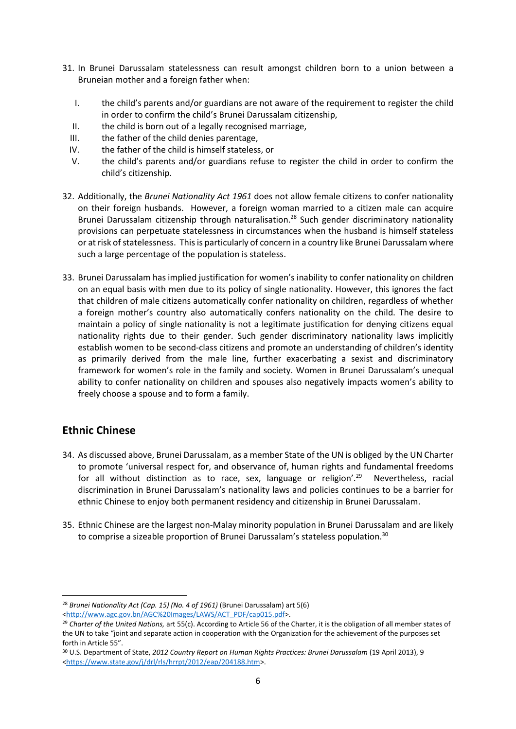- 31. In Brunei Darussalam statelessness can result amongst children born to a union between a Bruneian mother and a foreign father when:
	- I. the child's parents and/or guardians are not aware of the requirement to register the child in order to confirm the child's Brunei Darussalam citizenship,
	- II. the child is born out of a legally recognised marriage,
	- III. the father of the child denies parentage,
	- IV. the father of the child is himself stateless, or
	- V. the child's parents and/or guardians refuse to register the child in order to confirm the child's citizenship.
- 32. Additionally, the *Brunei Nationality Act 1961* does not allow female citizens to confer nationality on their foreign husbands. However, a foreign woman married to a citizen male can acquire Brunei Darussalam citizenship through naturalisation. <sup>28</sup> Such gender discriminatory nationality provisions can perpetuate statelessness in circumstances when the husband is himself stateless or at risk of statelessness. This is particularly of concern in a country like Brunei Darussalam where such a large percentage of the population is stateless.
- 33. Brunei Darussalam has implied justification for women's inability to confer nationality on children on an equal basis with men due to its policy of single nationality. However, this ignores the fact that children of male citizens automatically confer nationality on children, regardless of whether a foreign mother's country also automatically confers nationality on the child. The desire to maintain a policy of single nationality is not a legitimate justification for denying citizens equal nationality rights due to their gender. Such gender discriminatory nationality laws implicitly establish women to be second-class citizens and promote an understanding of children's identity as primarily derived from the male line, further exacerbating a sexist and discriminatory framework for women's role in the family and society. Women in Brunei Darussalam's unequal ability to confer nationality on children and spouses also negatively impacts women's ability to freely choose a spouse and to form a family.

#### **Ethnic Chinese**

 $\overline{a}$ 

- 34. As discussed above, Brunei Darussalam, as a member State of the UN is obliged by the UN Charter to promote 'universal respect for, and observance of, human rights and fundamental freedoms for all without distinction as to race, sex, language or religion'.<sup>29</sup> Nevertheless, racial discrimination in Brunei Darussalam's nationality laws and policies continues to be a barrier for ethnic Chinese to enjoy both permanent residency and citizenship in Brunei Darussalam.
- 35. Ethnic Chinese are the largest non-Malay minority population in Brunei Darussalam and are likely to comprise a sizeable proportion of Brunei Darussalam's stateless population.<sup>30</sup>

<sup>28</sup> *Brunei Nationality Act (Cap. 15) (No. 4 of 1961)* (Brunei Darussalam) art 5(6) [<http://www.agc.gov.bn/AGC%20Images/LAWS/ACT\\_PDF/cap015.pdf>](http://www.agc.gov.bn/AGC%20Images/LAWS/ACT_PDF/cap015.pdf).

<sup>29</sup> *Charter of the United Nations,* art 55(c). According to Article 56 of the Charter, it is the obligation of all member states of the UN to take "joint and separate action in cooperation with the Organization for the achievement of the purposes set forth in Article 55".

<sup>30</sup> U.S. Department of State, *2012 Country Report on Human Rights Practices: Brunei Darussalam* (19 April 2013), 9 [<https://www.state.gov/j/drl/rls/hrrpt/2012/eap/204188.htm>](https://www.state.gov/j/drl/rls/hrrpt/2012/eap/204188.htm).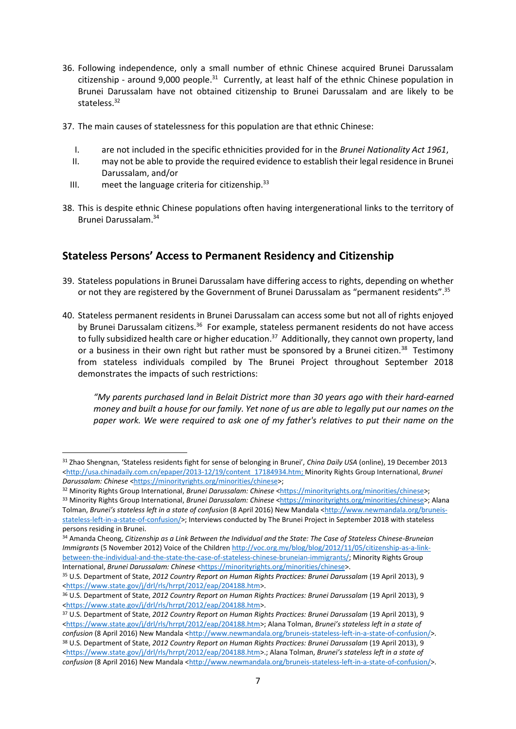- 36. Following independence, only a small number of ethnic Chinese acquired Brunei Darussalam citizenship - around 9,000 people.<sup>31</sup> Currently, at least half of the ethnic Chinese population in Brunei Darussalam have not obtained citizenship to Brunei Darussalam and are likely to be stateless.<sup>32</sup>
- 37. The main causes of statelessness for this population are that ethnic Chinese:
	- I. are not included in the specific ethnicities provided for in the *Brunei Nationality Act 1961*,
	- II. may not be able to provide the required evidence to establish their legal residence in Brunei Darussalam, and/or
	- III. meet the language criteria for citizenship. $33$

**.** 

38. This is despite ethnic Chinese populations often having intergenerational links to the territory of Brunei Darussalam. 34

## **Stateless Persons' Access to Permanent Residency and Citizenship**

- 39. Stateless populations in Brunei Darussalam have differing access to rights, depending on whether or not they are registered by the Government of Brunei Darussalam as "permanent residents".<sup>35</sup>
- 40. Stateless permanent residents in Brunei Darussalam can access some but not all of rights enjoyed by Brunei Darussalam citizens.<sup>36</sup> For example, stateless permanent residents do not have access to fully subsidized health care or higher education.<sup>37</sup> Additionally, they cannot own property, land or a business in their own right but rather must be sponsored by a Brunei citizen.<sup>38</sup> Testimony from stateless individuals compiled by The Brunei Project throughout September 2018 demonstrates the impacts of such restrictions:

*"My parents purchased land in Belait District more than 30 years ago with their hard-earned money and built a house for our family. Yet none of us are able to legally put our names on the paper work. We were required to ask one of my father's relatives to put their name on the* 

<sup>31</sup> Zhao Shengnan, 'Stateless residents fight for sense of belonging in Brunei', *China Daily USA* (online), 19 December 2013 [<http://usa.chinadaily.com.cn/epaper/2013-12/19/content\\_17184934.htm;](http://usa.chinadaily.com.cn/epaper/2013-12/19/content_17184934.htm) Minority Rights Group International, *Brunei Darussalam: Chinese* [<https://minorityrights.org/minorities/chinese>](https://minorityrights.org/minorities/chinese);

<sup>32</sup> Minority Rights Group International, *Brunei Darussalam: Chinese* [<https://minorityrights.org/minorities/chinese>](https://minorityrights.org/minorities/chinese);

<sup>33</sup> Minority Rights Group International, *Brunei Darussalam: Chinese* [<https://minorityrights.org/minorities/chinese>](https://minorityrights.org/minorities/chinese); Alana Tolman, *Brunei's stateless left in a state of confusion* (8 April 2016) New Mandala [<http://www.newmandala.org/bruneis](http://www.newmandala.org/bruneis-stateless-left-in-a-state-of-confusion/)[stateless-left-in-a-state-of-confusion/>](http://www.newmandala.org/bruneis-stateless-left-in-a-state-of-confusion/); Interviews conducted by The Brunei Project in September 2018 with stateless persons residing in Brunei.

<sup>34</sup> Amanda Cheong, *Citizenship as a Link Between the Individual and the State: The Case of Stateless Chinese-Bruneian Immigrants* (5 November 2012) Voice of the Children [http://voc.org.my/blog/blog/2012/11/05/citizenship-as-a-link](http://voc.org.my/blog/blog/2012/11/05/citizenship-as-a-link-between-the-individual-and-the-state-the-case-of-stateless-chinese-bruneian-immigrants/)[between-the-individual-and-the-state-the-case-of-stateless-chinese-bruneian-immigrants/;](http://voc.org.my/blog/blog/2012/11/05/citizenship-as-a-link-between-the-individual-and-the-state-the-case-of-stateless-chinese-bruneian-immigrants/) Minority Rights Group International, *Brunei Darussalam: Chinese* [<https://minorityrights.org/minorities/chinese>](https://minorityrights.org/minorities/chinese).

<sup>35</sup> U.S. Department of State, *2012 Country Report on Human Rights Practices: Brunei Darussalam* (19 April 2013), 9 [<https://www.state.gov/j/drl/rls/hrrpt/2012/eap/204188.htm>](https://www.state.gov/j/drl/rls/hrrpt/2012/eap/204188.htm).

<sup>36</sup> U.S. Department of State, *2012 Country Report on Human Rights Practices: Brunei Darussalam* (19 April 2013), 9 [<https://www.state.gov/j/drl/rls/hrrpt/2012/eap/204188.htm>](https://www.state.gov/j/drl/rls/hrrpt/2012/eap/204188.htm).

<sup>37</sup> U.S. Department of State, *2012 Country Report on Human Rights Practices: Brunei Darussalam* (19 April 2013), 9 [<https://www.state.gov/j/drl/rls/hrrpt/2012/eap/204188.htm>](https://www.state.gov/j/drl/rls/hrrpt/2012/eap/204188.htm); Alana Tolman, *Brunei's stateless left in a state of confusion (8 April 2016) New Mandala [<http://www.newmandala.org/bruneis-stateless-left-in-a-state-of-confusion/>](http://www.newmandala.org/bruneis-stateless-left-in-a-state-of-confusion/).* <sup>38</sup> U.S. Department of State, *2012 Country Report on Human Rights Practices: Brunei Darussalam* (19 April 2013), 9 [<https://www.state.gov/j/drl/rls/hrrpt/2012/eap/204188.htm>](https://www.state.gov/j/drl/rls/hrrpt/2012/eap/204188.htm).; Alana Tolman, *Brunei's stateless left in a state of* 

*confusion (8 April 2016) New Mandala [<http://www.newmandala.org/bruneis-stateless-left-in-a-state-of-confusion/>](http://www.newmandala.org/bruneis-stateless-left-in-a-state-of-confusion/).*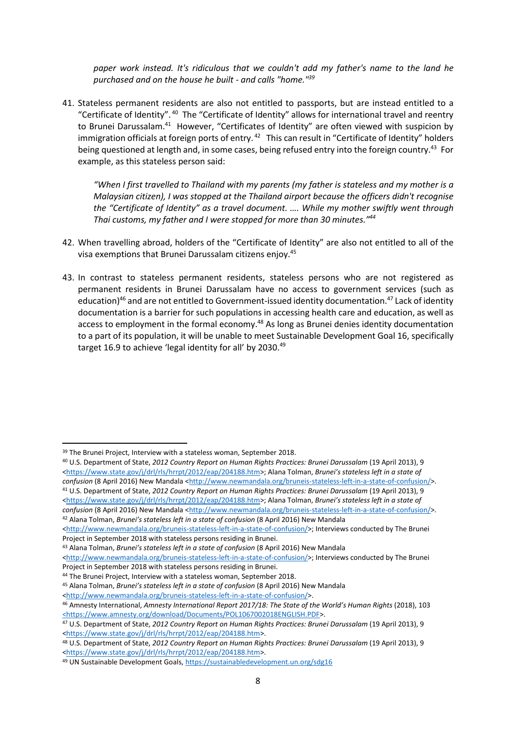*paper work instead. It's ridiculous that we couldn't add my father's name to the land he purchased and on the house he built - and calls "home."<sup>39</sup>*

41. Stateless permanent residents are also not entitled to passports, but are instead entitled to a "Certificate of Identity".<sup>40</sup> The "Certificate of Identity" allows for international travel and reentry to Brunei Darussalam.<sup>41</sup> However, "Certificates of Identity" are often viewed with suspicion by immigration officials at foreign ports of entry.<sup>42</sup> This can result in "Certificate of Identity" holders being questioned at length and, in some cases, being refused entry into the foreign country.<sup>43</sup> For example, as this stateless person said:

*"When I first travelled to Thailand with my parents (my father is stateless and my mother is a Malaysian citizen), I was stopped at the Thailand airport because the officers didn't recognise the "Certificate of Identity" as a travel document. …. While my mother swiftly went through Thai customs, my father and I were stopped for more than 30 minutes." 44*

- 42. When travelling abroad, holders of the "Certificate of Identity" are also not entitled to all of the visa exemptions that Brunei Darussalam citizens enjoy.<sup>45</sup>
- 43. In contrast to stateless permanent residents, stateless persons who are not registered as permanent residents in Brunei Darussalam have no access to government services (such as education)<sup>46</sup> and are not entitled to Government-issued identity documentation.<sup>47</sup> Lack of identity documentation is a barrier for such populations in accessing health care and education, as well as access to employment in the formal economy.<sup>48</sup> As long as Brunei denies identity documentation to a part of its population, it will be unable to meet Sustainable Development Goal 16, specifically target 16.9 to achieve 'legal identity for all' by 2030.<sup>49</sup>

 $\overline{a}$ 

<sup>&</sup>lt;sup>39</sup> The Brunei Project, Interview with a stateless woman, September 2018.

<sup>40</sup> U.S. Department of State, *2012 Country Report on Human Rights Practices: Brunei Darussalam* (19 April 2013), 9 [<https://www.state.gov/j/drl/rls/hrrpt/2012/eap/204188.htm>](https://www.state.gov/j/drl/rls/hrrpt/2012/eap/204188.htm); Alana Tolman, *Brunei's stateless left in a state of confusion (8 April 2016) New Mandala [<http://www.newmandala.org/bruneis-stateless-left-in-a-state-of-confusion/>](http://www.newmandala.org/bruneis-stateless-left-in-a-state-of-confusion/).* <sup>41</sup> U.S. Department of State, *2012 Country Report on Human Rights Practices: Brunei Darussalam* (19 April 2013), 9 [<https://www.state.gov/j/drl/rls/hrrpt/2012/eap/204188.htm>](https://www.state.gov/j/drl/rls/hrrpt/2012/eap/204188.htm); Alana Tolman, *Brunei's stateless left in a state of confusion* (8 April 2016) New Mandala [<http://www.newmandala.org/bruneis-stateless-left-in-a-state-of-confusion/>](http://www.newmandala.org/bruneis-stateless-left-in-a-state-of-confusion/). <sup>42</sup> Alana Tolman, *Brunei's stateless left in a state of confusion* (8 April 2016) New Mandala

[<sup>&</sup>lt;http://www.newmandala.org/bruneis-stateless-left-in-a-state-of-confusion/>](http://www.newmandala.org/bruneis-stateless-left-in-a-state-of-confusion/); Interviews conducted by The Brunei Project in September 2018 with stateless persons residing in Brunei.

<sup>43</sup> Alana Tolman, *Brunei's stateless left in a state of confusion* (8 April 2016) New Mandala

[<sup>&</sup>lt;http://www.newmandala.org/bruneis-stateless-left-in-a-state-of-confusion/>](http://www.newmandala.org/bruneis-stateless-left-in-a-state-of-confusion/); Interviews conducted by The Brunei Project in September 2018 with stateless persons residing in Brunei.

<sup>44</sup> The Brunei Project, Interview with a stateless woman, September 2018.

<sup>45</sup> Alana Tolman, *Brunei's stateless left in a state of confusion* (8 April 2016) New Mandala

[<sup>&</sup>lt;http://www.newmandala.org/bruneis-stateless-left-in-a-state-of-confusion/>](http://www.newmandala.org/bruneis-stateless-left-in-a-state-of-confusion/).

<sup>46</sup> Amnesty International, *Amnesty International Report 2017/18: The State of the World's Human Rights* (2018), 103 [<https://www.amnesty.org/download/Documents/POL1067002018ENGLISH.PDF>](https://www.amnesty.org/download/Documents/POL1067002018ENGLISH.PDF).

<sup>47</sup> U.S. Department of State, *2012 Country Report on Human Rights Practices: Brunei Darussalam* (19 April 2013), 9 [<https://www.state.gov/j/drl/rls/hrrpt/2012/eap/204188.htm>](https://www.state.gov/j/drl/rls/hrrpt/2012/eap/204188.htm).

<sup>48</sup> U.S. Department of State, *2012 Country Report on Human Rights Practices: Brunei Darussalam* (19 April 2013), 9 [<https://www.state.gov/j/drl/rls/hrrpt/2012/eap/204188.htm>](https://www.state.gov/j/drl/rls/hrrpt/2012/eap/204188.htm).

<sup>49</sup> UN Sustainable Development Goals,<https://sustainabledevelopment.un.org/sdg16>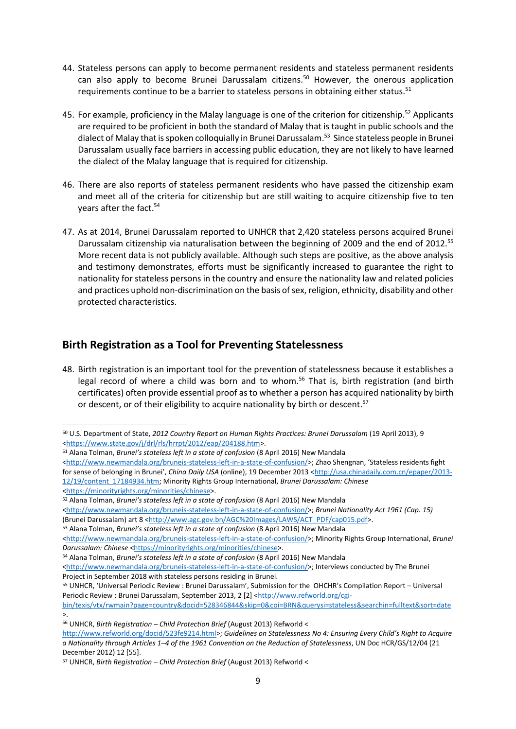- 44. Stateless persons can apply to become permanent residents and stateless permanent residents can also apply to become Brunei Darussalam citizens.<sup>50</sup> However, the onerous application requirements continue to be a barrier to stateless persons in obtaining either status.<sup>51</sup>
- 45. For example, proficiency in the Malay language is one of the criterion for citizenship.<sup>52</sup> Applicants are required to be proficient in both the standard of Malay that is taught in public schools and the dialect of Malay that is spoken colloquially in Brunei Darussalam. 53 Since stateless people in Brunei Darussalam usually face barriers in accessing public education, they are not likely to have learned the dialect of the Malay language that is required for citizenship.
- 46. There are also reports of stateless permanent residents who have passed the citizenship exam and meet all of the criteria for citizenship but are still waiting to acquire citizenship five to ten years after the fact. 54
- 47. As at 2014, Brunei Darussalam reported to UNHCR that 2,420 stateless persons acquired Brunei Darussalam citizenship via naturalisation between the beginning of 2009 and the end of 2012.<sup>55</sup> More recent data is not publicly available. Although such steps are positive, as the above analysis and testimony demonstrates, efforts must be significantly increased to guarantee the right to nationality for stateless persons in the country and ensure the nationality law and related policies and practices uphold non-discrimination on the basis of sex, religion, ethnicity, disability and other protected characteristics.

#### **Birth Registration as a Tool for Preventing Statelessness**

48. Birth registration is an important tool for the prevention of statelessness because it establishes a legal record of where a child was born and to whom.<sup>56</sup> That is, birth registration (and birth certificates) often provide essential proof as to whether a person has acquired nationality by birth or descent, or of their eligibility to acquire nationality by birth or descent.<sup>57</sup>

[<http://www.newmandala.org/bruneis-stateless-left-in-a-state-of-confusion/>](http://www.newmandala.org/bruneis-stateless-left-in-a-state-of-confusion/); Zhao Shengnan, 'Stateless residents fight for sense of belonging in Brunei', *China Daily USA* (online), 19 December 2013 [<http://usa.chinadaily.com.cn/epaper/2013-](http://usa.chinadaily.com.cn/epaper/2013-12/19/content_17184934.htm) [12/19/content\\_17184934.htm;](http://usa.chinadaily.com.cn/epaper/2013-12/19/content_17184934.htm) Minority Rights Group International, *Brunei Darussalam: Chinese* 

```
<https://minorityrights.org/minorities/chinese>.
```
**.** 

<sup>52</sup> Alana Tolman, *Brunei's stateless left in a state of confusion* (8 April 2016) New Mandala

<sup>53</sup> Alana Tolman, *Brunei's stateless left in a state of confusion* (8 April 2016) New Mandala

<sup>54</sup> Alana Tolman, *Brunei's stateless left in a state of confusion* (8 April 2016) New Mandala [<http://www.newmandala.org/bruneis-stateless-left-in-a-state-of-confusion/>](http://www.newmandala.org/bruneis-stateless-left-in-a-state-of-confusion/); Interviews conducted by The Brunei

Project in September 2018 with stateless persons residing in Brunei.

<sup>50</sup> U.S. Department of State, *2012 Country Report on Human Rights Practices: Brunei Darussalam* (19 April 2013), 9 [<https://www.state.gov/j/drl/rls/hrrpt/2012/eap/204188.htm>](https://www.state.gov/j/drl/rls/hrrpt/2012/eap/204188.htm).

<sup>51</sup> Alana Tolman, *Brunei's stateless left in a state of confusion* (8 April 2016) New Mandala

[<sup>&</sup>lt;http://www.newmandala.org/bruneis-stateless-left-in-a-state-of-confusion/>](http://www.newmandala.org/bruneis-stateless-left-in-a-state-of-confusion/); *Brunei Nationality Act 1961 (Cap. 15)* 

<sup>(</sup>Brunei Darussalam) art 8 [<http://www.agc.gov.bn/AGC%20Images/LAWS/ACT\\_PDF/cap015.pdf>](http://www.agc.gov.bn/AGC%20Images/LAWS/ACT_PDF/cap015.pdf).

[<sup>&</sup>lt;http://www.newmandala.org/bruneis-stateless-left-in-a-state-of-confusion/>](http://www.newmandala.org/bruneis-stateless-left-in-a-state-of-confusion/); Minority Rights Group International, *Brunei Darussalam: Chinese* [<https://minorityrights.org/minorities/chinese>](https://minorityrights.org/minorities/chinese).

<sup>55</sup> UNHCR, 'Universal Periodic Review : Brunei Darussalam', Submission for the OHCHR's Compilation Report – Universal Periodic Review : Brunei Darussalam, September 2013, 2 [2] [<http://www.refworld.org/cgi-](http://www.refworld.org/cgi-bin/texis/vtx/rwmain?page=country&docid=528346844&skip=0&coi=BRN&querysi=stateless&searchin=fulltext&sort=date)

[bin/texis/vtx/rwmain?page=country&docid=528346844&skip=0&coi=BRN&querysi=stateless&searchin=fulltext&sort=date](http://www.refworld.org/cgi-bin/texis/vtx/rwmain?page=country&docid=528346844&skip=0&coi=BRN&querysi=stateless&searchin=fulltext&sort=date) >.

<sup>56</sup> UNHCR, *Birth Registration – Child Protection Brief* (August 2013) Refworld <

[http://www.refworld.org/docid/523fe9214.html>](http://www.refworld.org/docid/523fe9214.html); *Guidelines on Statelessness No 4: Ensuring Every Child's Right to Acquire a Nationality through Articles 1–4 of the 1961 Convention on the Reduction of Statelessness*, UN Doc HCR/GS/12/04 (21 December 2012) 12 [55].

<sup>57</sup> UNHCR, *Birth Registration – Child Protection Brief* (August 2013) Refworld <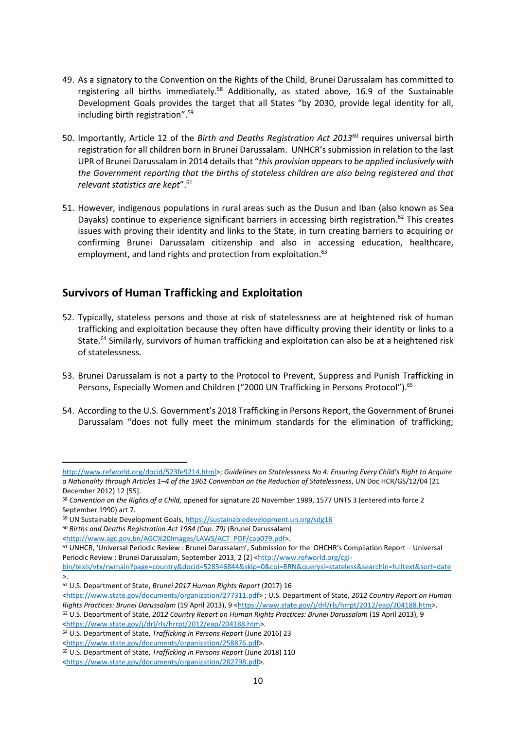- 49. As a signatory to the Convention on the Rights of the Child, Brunei Darussalam has committed to registering all births immediately.<sup>58</sup> Additionally, as stated above, 16.9 of the Sustainable Development Goals provides the target that all States "by 2030, provide legal identity for all, including birth registration".<sup>59</sup>
- 50. Importantly, Article 12 of the *Birth and Deaths Registration Act 2013*<sup>60</sup> requires universal birth registration for all children born in Brunei Darussalam. UNHCR's submission in relation to the last UPR of Brunei Darussalam in 2014 details that "*this provision appears to be applied inclusively with the Government reporting that the births of stateless children are also being registered and that relevant statistics are kept*". 61
- 51. However, indigenous populations in rural areas such as the Dusun and Iban (also known as Sea Dayaks) continue to experience significant barriers in accessing birth registration.<sup>62</sup> This creates issues with proving their identity and links to the State, in turn creating barriers to acquiring or confirming Brunei Darussalam citizenship and also in accessing education, healthcare, employment, and land rights and protection from exploitation.<sup>63</sup>

## **Survivors of Human Trafficking and Exploitation**

- 52. Typically, stateless persons and those at risk of statelessness are at heightened risk of human trafficking and exploitation because they often have difficulty proving their identity or links to a State.<sup>64</sup> Similarly, survivors of human trafficking and exploitation can also be at a heightened risk of statelessness.
- 53. Brunei Darussalam is not a party to the Protocol to Prevent, Suppress and Punish Trafficking in Persons, Especially Women and Children ("2000 UN Trafficking in Persons Protocol").<sup>65</sup>
- 54. According to the U.S. Government's 2018 Trafficking in Persons Report, the Government of Brunei Darussalam "does not fully meet the minimum standards for the elimination of trafficking;

[http://www.refworld.org/docid/523fe9214.html>](http://www.refworld.org/docid/523fe9214.html); *Guidelines on Statelessness No 4: Ensuring Every Child's Right to Acquire a Nationality through Articles 1–4 of the 1961 Convention on the Reduction of Statelessness*, UN Doc HCR/GS/12/04 (21 December 2012) 12 [55].

<sup>58</sup> *Convention on the Rights of a Child,* opened for signature 20 November 1989, 1577 UNTS 3 (entered into force 2 September 1990) art 7.

<sup>59</sup> UN Sustainable Development Goals,<https://sustainabledevelopment.un.org/sdg16>

<sup>60</sup> *Births and Deaths Registration Act 1984 (Cap. 79)* (Brunei Darussalam)

[<sup>&</sup>lt;http://www.agc.gov.bn/AGC%20Images/LAWS/ACT\\_PDF/cap079.pdf>](http://www.agc.gov.bn/AGC%20Images/LAWS/ACT_PDF/cap079.pdf).

<sup>61</sup> UNHCR, 'Universal Periodic Review : Brunei Darussalam', Submission for the OHCHR's Compilation Report – Universal Periodic Review : Brunei Darussalam, September 2013, 2 [2] [<http://www.refworld.org/cgi-](http://www.refworld.org/cgi-bin/texis/vtx/rwmain?page=country&docid=528346844&skip=0&coi=BRN&querysi=stateless&searchin=fulltext&sort=date)

[bin/texis/vtx/rwmain?page=country&docid=528346844&skip=0&coi=BRN&querysi=stateless&searchin=fulltext&sort=date](http://www.refworld.org/cgi-bin/texis/vtx/rwmain?page=country&docid=528346844&skip=0&coi=BRN&querysi=stateless&searchin=fulltext&sort=date) >.

<sup>62</sup> U.S. Department of State, *Brunei 2017 Human Rights Report* (2017) 16 <https://www.state.gov/documents/organization/277311.pdf> ; U.S. Department of State, *2012 Country Report on Human Rights Practices: Brunei Darussalam* (19 April 2013), 9 [<https://www.state.gov/j/drl/rls/hrrpt/2012/eap/204188.htm>](https://www.state.gov/j/drl/rls/hrrpt/2012/eap/204188.htm).

<sup>63</sup> U.S. Department of State, *2012 Country Report on Human Rights Practices: Brunei Darussalam* (19 April 2013), 9 [<https://www.state.gov/j/drl/rls/hrrpt/2012/eap/204188.htm>](https://www.state.gov/j/drl/rls/hrrpt/2012/eap/204188.htm).

<sup>64</sup> U.S. Department of State, *Trafficking in Persons Report* (June 2016) 23

[<sup>&</sup>lt;https://www.state.gov/documents/organization/258876.pdf>](https://www.state.gov/documents/organization/258876.pdf).

<sup>65</sup> U.S. Department of State, *Trafficking in Persons Report* (June 2018) 110

[<sup>&</sup>lt;https://www.state.gov/documents/organization/282798.pdf>](https://www.state.gov/documents/organization/282798.pdf).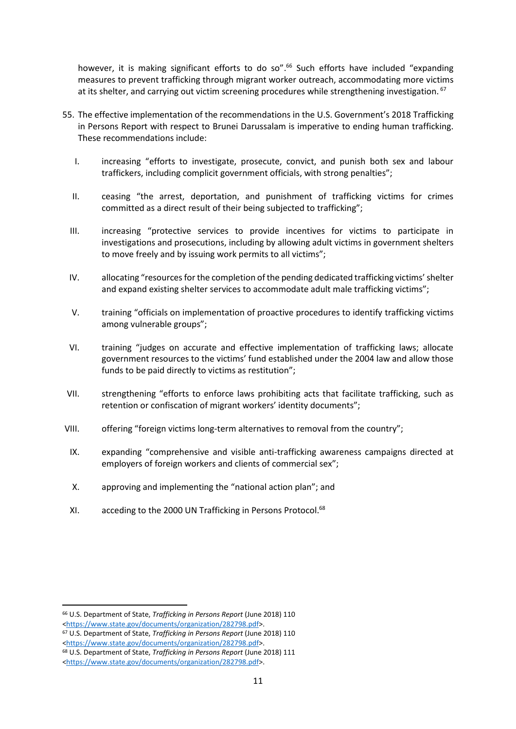however, it is making significant efforts to do so".<sup>66</sup> Such efforts have included "expanding measures to prevent trafficking through migrant worker outreach, accommodating more victims at its shelter, and carrying out victim screening procedures while strengthening investigation. <sup>67</sup>

- 55. The effective implementation of the recommendations in the U.S. Government's 2018 Trafficking in Persons Report with respect to Brunei Darussalam is imperative to ending human trafficking. These recommendations include:
	- I. increasing "efforts to investigate, prosecute, convict, and punish both sex and labour traffickers, including complicit government officials, with strong penalties";
	- II. ceasing "the arrest, deportation, and punishment of trafficking victims for crimes committed as a direct result of their being subjected to trafficking";
	- III. increasing "protective services to provide incentives for victims to participate in investigations and prosecutions, including by allowing adult victims in government shelters to move freely and by issuing work permits to all victims";
	- IV. allocating "resources for the completion of the pending dedicated trafficking victims' shelter and expand existing shelter services to accommodate adult male trafficking victims";
	- V. training "officials on implementation of proactive procedures to identify trafficking victims among vulnerable groups";
	- VI. training "judges on accurate and effective implementation of trafficking laws; allocate government resources to the victims' fund established under the 2004 law and allow those funds to be paid directly to victims as restitution";
- VII. strengthening "efforts to enforce laws prohibiting acts that facilitate trafficking, such as retention or confiscation of migrant workers' identity documents";
- VIII. offering "foreign victims long-term alternatives to removal from the country";
- IX. expanding "comprehensive and visible anti-trafficking awareness campaigns directed at employers of foreign workers and clients of commercial sex";
- X. approving and implementing the "national action plan"; and
- XI. acceding to the 2000 UN Trafficking in Persons Protocol.<sup>68</sup>

<sup>66</sup> U.S. Department of State, *Trafficking in Persons Report* (June 2018) 110 [<https://www.state.gov/documents/organization/282798.pdf>](https://www.state.gov/documents/organization/282798.pdf).

<sup>67</sup> U.S. Department of State, *Trafficking in Persons Report* (June 2018) 110 [<https://www.state.gov/documents/organization/282798.pdf>](https://www.state.gov/documents/organization/282798.pdf).

<sup>68</sup> U.S. Department of State, *Trafficking in Persons Report* (June 2018) 111

[<sup>&</sup>lt;https://www.state.gov/documents/organization/282798.pdf>](https://www.state.gov/documents/organization/282798.pdf).